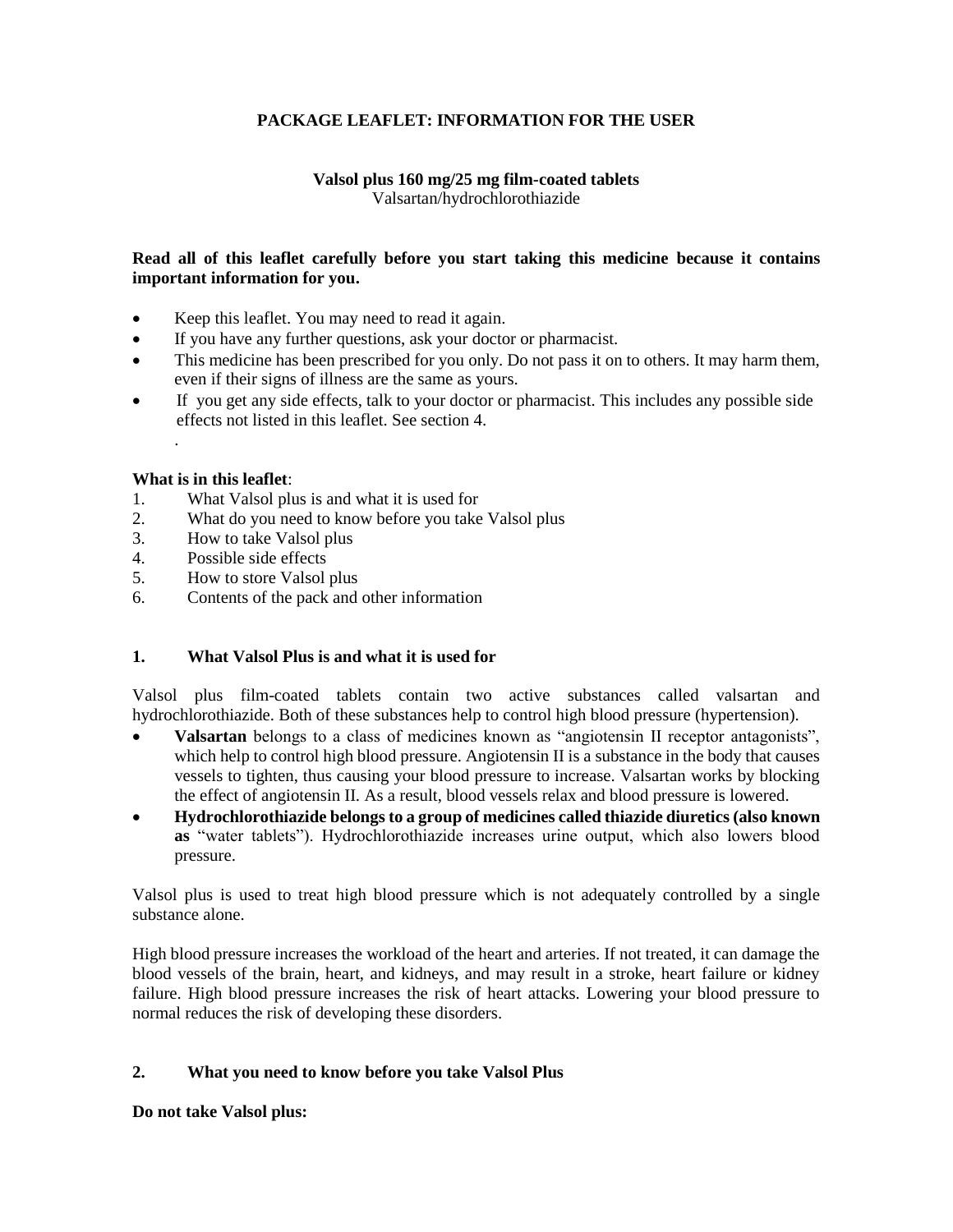# **PACKAGE LEAFLET: INFORMATION FOR THE USER**

## **Valsol plus 160 mg/25 mg film-coated tablets** Valsartan/hydrochlorothiazide

## **Read all of this leaflet carefully before you start taking this medicine because it contains important information for you.**

- Keep this leaflet. You may need to read it again.
- If you have any further questions, ask your doctor or pharmacist.
- This medicine has been prescribed for you only. Do not pass it on to others. It may harm them, even if their signs of illness are the same as yours.
- If you get any side effects, talk to your doctor or pharmacist. This includes any possible side effects not listed in this leaflet. See section 4.

## **What is in this leaflet**:

.

- 1. What Valsol plus is and what it is used for
- 2. What do you need to know before you take Valsol plus
- 3. How to take Valsol plus
- 4. Possible side effects
- 5. How to store Valsol plus
- 6. Contents of the pack and other information

## **1. What Valsol Plus is and what it is used for**

Valsol plus film-coated tablets contain two active substances called valsartan and hydrochlorothiazide. Both of these substances help to control high blood pressure (hypertension).

- **Valsartan** belongs to a class of medicines known as "angiotensin II receptor antagonists", which help to control high blood pressure. Angiotensin II is a substance in the body that causes vessels to tighten, thus causing your blood pressure to increase. Valsartan works by blocking the effect of angiotensin II. As a result, blood vessels relax and blood pressure is lowered.
- **Hydrochlorothiazide belongs to a group of medicines called thiazide diuretics (also known as** "water tablets"). Hydrochlorothiazide increases urine output, which also lowers blood pressure.

Valsol plus is used to treat high blood pressure which is not adequately controlled by a single substance alone.

High blood pressure increases the workload of the heart and arteries. If not treated, it can damage the blood vessels of the brain, heart, and kidneys, and may result in a stroke, heart failure or kidney failure. High blood pressure increases the risk of heart attacks. Lowering your blood pressure to normal reduces the risk of developing these disorders.

## **2. What you need to know before you take Valsol Plus**

**Do not take Valsol plus:**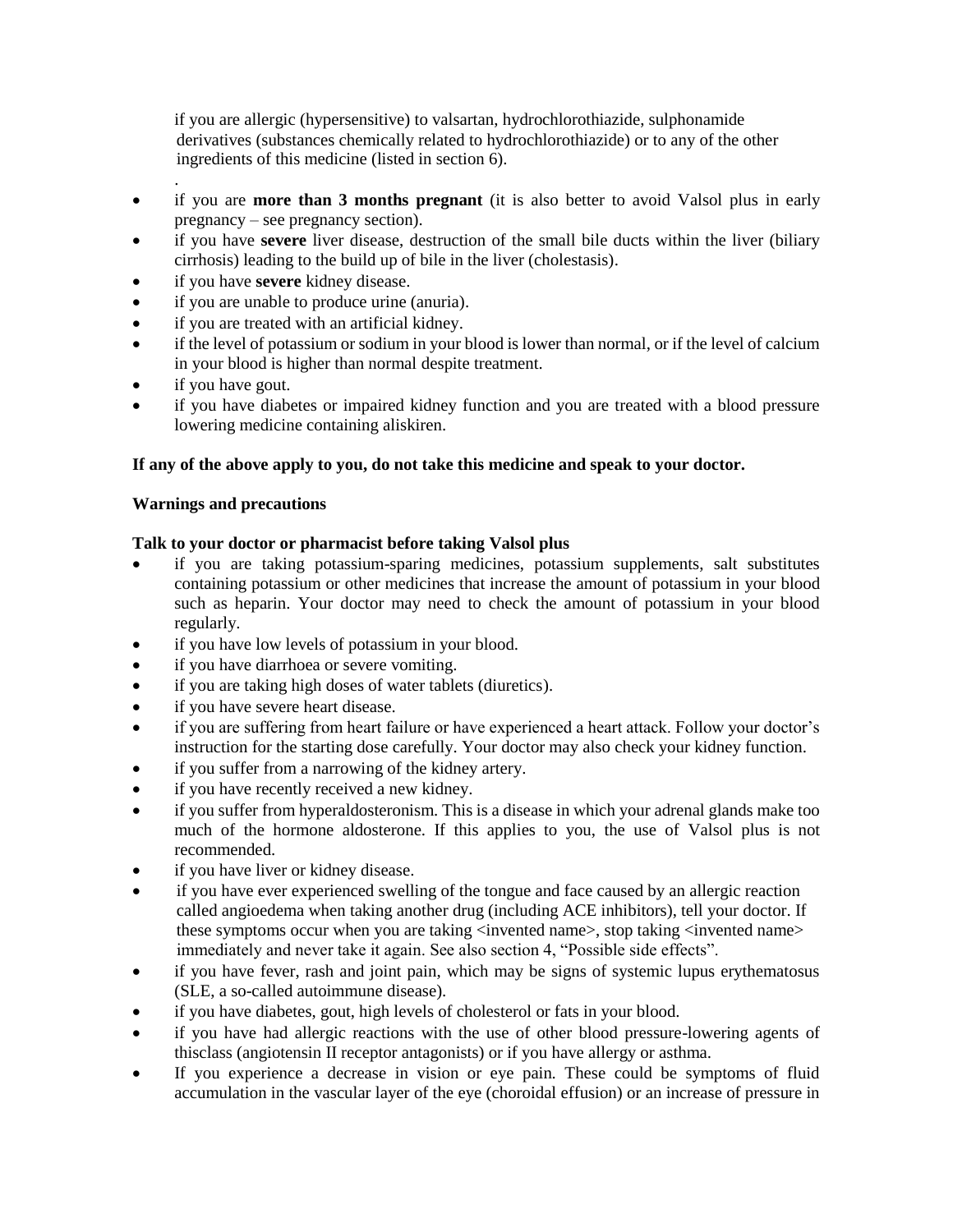if you are allergic (hypersensitive) to valsartan, hydrochlorothiazide, sulphonamide derivatives (substances chemically related to hydrochlorothiazide) or to any of the other ingredients of this medicine (listed in section 6).

- . if you are **more than 3 months pregnant** (it is also better to avoid Valsol plus in early pregnancy – see pregnancy section).
- if you have **severe** liver disease, destruction of the small bile ducts within the liver (biliary cirrhosis) leading to the build up of bile in the liver (cholestasis).
- if you have **severe** kidney disease.
- if you are unable to produce urine (anuria).
- if you are treated with an artificial kidney.
- if the level of potassium or sodium in your blood is lower than normal, or if the level of calcium in your blood is higher than normal despite treatment.
- if you have gout.
- if you have diabetes or impaired kidney function and you are treated with a blood pressure lowering medicine containing aliskiren.

## **If any of the above apply to you, do not take this medicine and speak to your doctor.**

## **Warnings and precautions**

## **Talk to your doctor or pharmacist before taking Valsol plus**

- if you are taking potassium-sparing medicines, potassium supplements, salt substitutes containing potassium or other medicines that increase the amount of potassium in your blood such as heparin. Your doctor may need to check the amount of potassium in your blood regularly.
- if you have low levels of potassium in your blood.
- if you have diarrhoea or severe vomiting.
- if you are taking high doses of water tablets (diuretics).
- if you have severe heart disease.
- if you are suffering from heart failure or have experienced a heart attack. Follow your doctor's instruction for the starting dose carefully. Your doctor may also check your kidney function.
- if you suffer from a narrowing of the kidney artery.
- if you have recently received a new kidney.
- if you suffer from hyperaldosteronism. This is a disease in which your adrenal glands make too much of the hormone aldosterone. If this applies to you, the use of Valsol plus is not recommended.
- if you have liver or kidney disease.
- if you have ever experienced swelling of the tongue and face caused by an allergic reaction called angioedema when taking another drug (including ACE inhibitors), tell your doctor. If these symptoms occur when you are taking <invented name>, stop taking <invented name> immediately and never take it again. See also section 4, "Possible side effects".
- if you have fever, rash and joint pain, which may be signs of systemic lupus erythematosus (SLE, a so-called autoimmune disease).
- if you have diabetes, gout, high levels of cholesterol or fats in your blood.
- if you have had allergic reactions with the use of other blood pressure-lowering agents of thisclass (angiotensin II receptor antagonists) or if you have allergy or asthma.
- If you experience a decrease in vision or eye pain. These could be symptoms of fluid accumulation in the vascular layer of the eye (choroidal effusion) or an increase of pressure in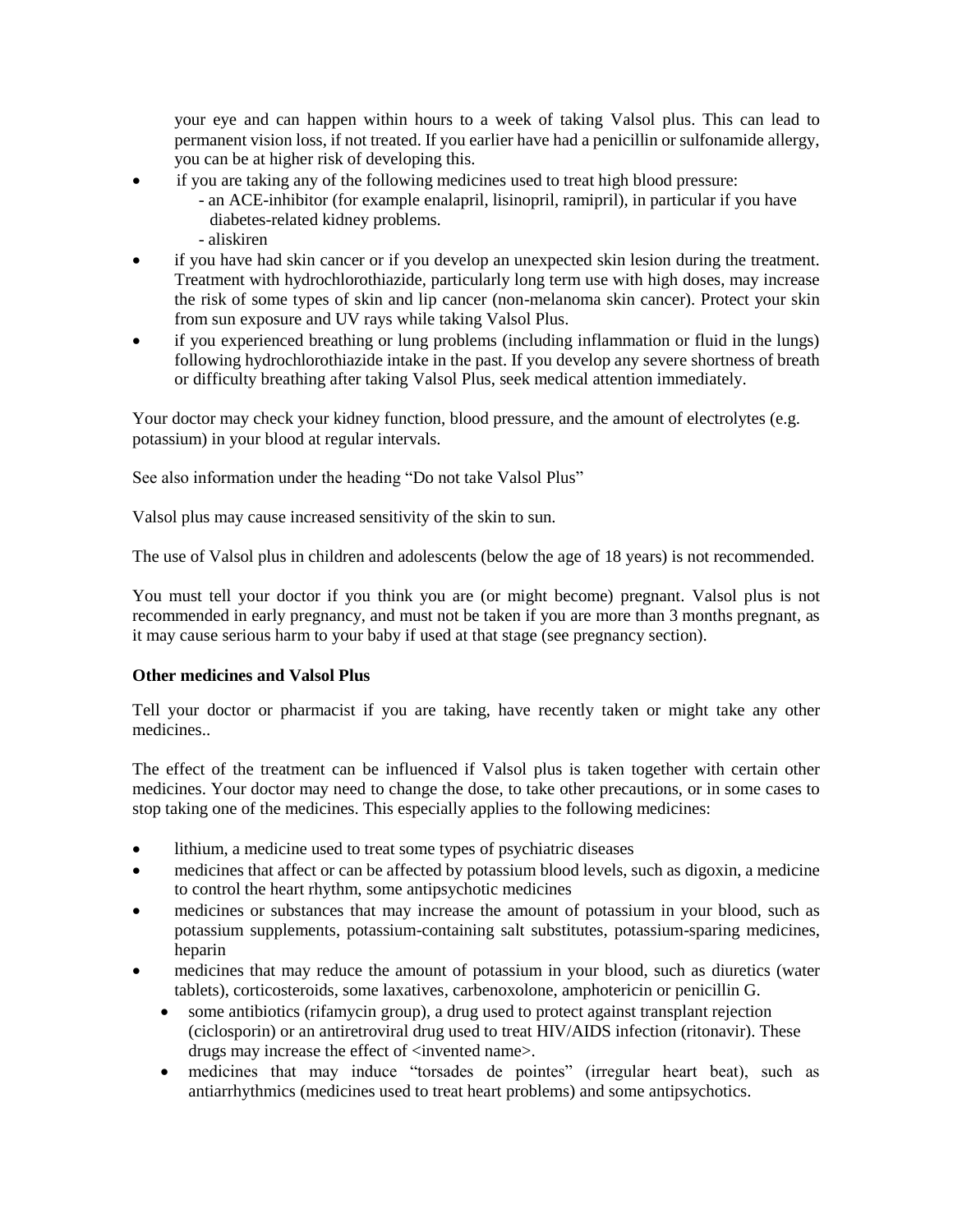your eye and can happen within hours to a week of taking Valsol plus. This can lead to permanent vision loss, if not treated. If you earlier have had a penicillin or sulfonamide allergy, you can be at higher risk of developing this.

- if you are taking any of the following medicines used to treat high blood pressure:
	- an ACE-inhibitor (for example enalapril, lisinopril, ramipril), in particular if you have diabetes-related kidney problems.
	- aliskiren
- if you have had skin cancer or if you develop an unexpected skin lesion during the treatment. Treatment with hydrochlorothiazide, particularly long term use with high doses, may increase the risk of some types of skin and lip cancer (non-melanoma skin cancer). Protect your skin from sun exposure and UV rays while taking Valsol Plus.
- if you experienced breathing or lung problems (including inflammation or fluid in the lungs) following hydrochlorothiazide intake in the past. If you develop any severe shortness of breath or difficulty breathing after taking Valsol Plus, seek medical attention immediately.

Your doctor may check your kidney function, blood pressure, and the amount of electrolytes (e.g. potassium) in your blood at regular intervals.

See also information under the heading "Do not take Valsol Plus"

Valsol plus may cause increased sensitivity of the skin to sun.

The use of Valsol plus in children and adolescents (below the age of 18 years) is not recommended.

You must tell your doctor if you think you are (or might become) pregnant. Valsol plus is not recommended in early pregnancy, and must not be taken if you are more than 3 months pregnant, as it may cause serious harm to your baby if used at that stage (see pregnancy section).

## **Other medicines and Valsol Plus**

Tell your doctor or pharmacist if you are taking, have recently taken or might take any other medicines..

The effect of the treatment can be influenced if Valsol plus is taken together with certain other medicines. Your doctor may need to change the dose, to take other precautions, or in some cases to stop taking one of the medicines. This especially applies to the following medicines:

- lithium, a medicine used to treat some types of psychiatric diseases
- medicines that affect or can be affected by potassium blood levels, such as digoxin, a medicine to control the heart rhythm, some antipsychotic medicines
- medicines or substances that may increase the amount of potassium in your blood, such as potassium supplements, potassium-containing salt substitutes, potassium-sparing medicines, heparin
- medicines that may reduce the amount of potassium in your blood, such as diuretics (water tablets), corticosteroids, some laxatives, carbenoxolone, amphotericin or penicillin G.
	- some antibiotics (rifamycin group), a drug used to protect against transplant rejection (ciclosporin) or an antiretroviral drug used to treat HIV/AIDS infection (ritonavir). These drugs may increase the effect of  $\langle$  invented name $\rangle$ .
	- medicines that may induce "torsades de pointes" (irregular heart beat), such as antiarrhythmics (medicines used to treat heart problems) and some antipsychotics.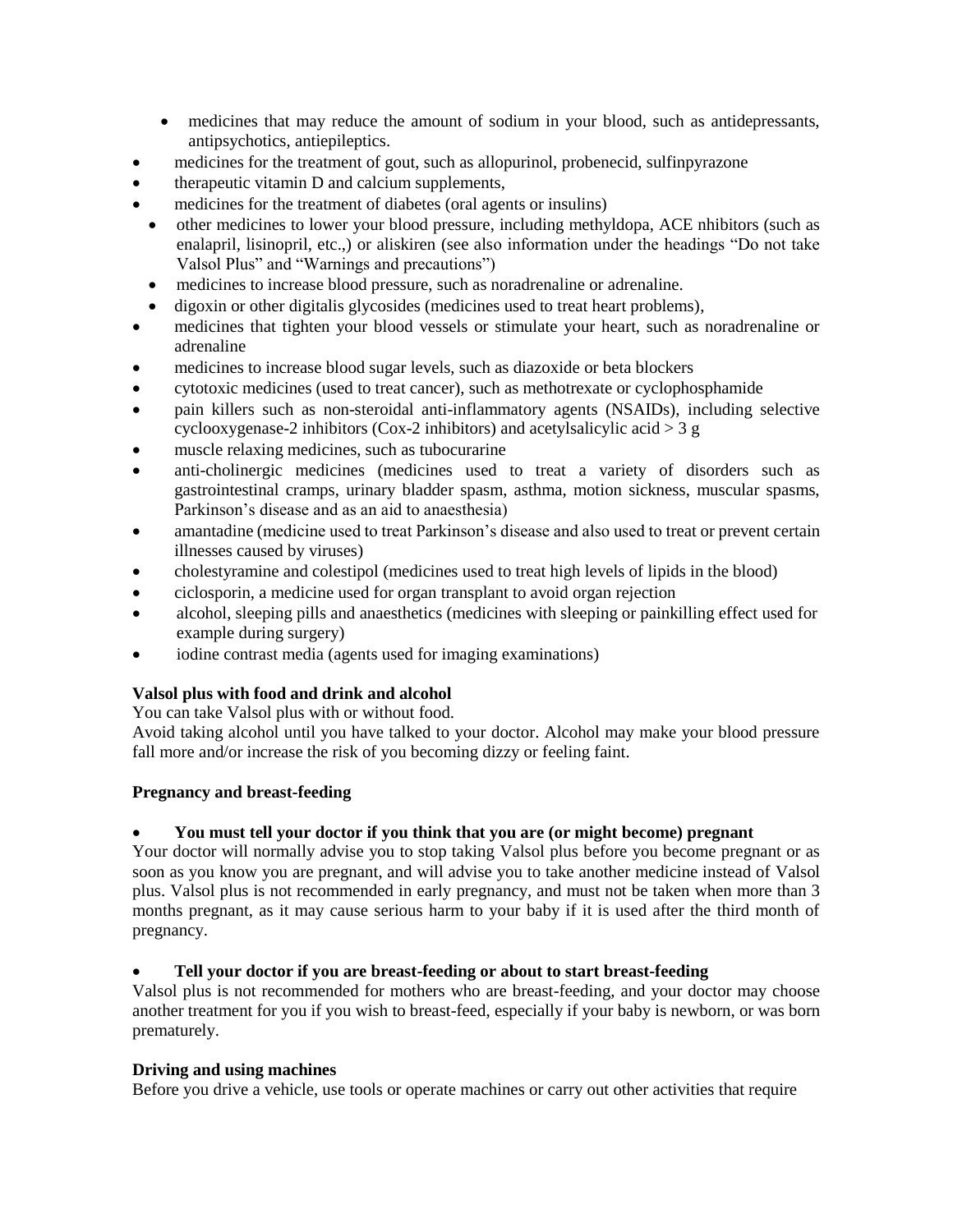- medicines that may reduce the amount of sodium in your blood, such as antidepressants, antipsychotics, antiepileptics.
- medicines for the treatment of gout, such as allopurinol, probenecid, sulfinpyrazone
- therapeutic vitamin D and calcium supplements,
- medicines for the treatment of diabetes (oral agents or insulins)
- other medicines to lower your blood pressure, including methyldopa, ACE nhibitors (such as enalapril, lisinopril, etc.,) or aliskiren (see also information under the headings "Do not take Valsol Plus" and "Warnings and precautions")
- medicines to increase blood pressure, such as noradrenaline or adrenaline.
- digoxin or other digitalis glycosides (medicines used to treat heart problems),
- medicines that tighten your blood vessels or stimulate your heart, such as noradrenaline or adrenaline
- medicines to increase blood sugar levels, such as diazoxide or beta blockers
- cytotoxic medicines (used to treat cancer), such as methotrexate or cyclophosphamide
- pain killers such as non-steroidal anti-inflammatory agents (NSAIDs), including selective cyclooxygenase-2 inhibitors (Cox-2 inhibitors) and acetylsalicylic acid  $>$  3 g
- muscle relaxing medicines, such as tubocurarine
- anti-cholinergic medicines (medicines used to treat a variety of disorders such as gastrointestinal cramps, urinary bladder spasm, asthma, motion sickness, muscular spasms, Parkinson's disease and as an aid to anaesthesia)
- amantadine (medicine used to treat Parkinson's disease and also used to treat or prevent certain illnesses caused by viruses)
- cholestyramine and colestipol (medicines used to treat high levels of lipids in the blood)
- ciclosporin, a medicine used for organ transplant to avoid organ rejection
- alcohol, sleeping pills and anaesthetics (medicines with sleeping or painkilling effect used for example during surgery)
- iodine contrast media (agents used for imaging examinations)

# **Valsol plus with food and drink and alcohol**

You can take Valsol plus with or without food.

Avoid taking alcohol until you have talked to your doctor. Alcohol may make your blood pressure fall more and/or increase the risk of you becoming dizzy or feeling faint.

# **Pregnancy and breast-feeding**

## **You must tell your doctor if you think that you are (or might become) pregnant**

Your doctor will normally advise you to stop taking Valsol plus before you become pregnant or as soon as you know you are pregnant, and will advise you to take another medicine instead of Valsol plus. Valsol plus is not recommended in early pregnancy, and must not be taken when more than 3 months pregnant, as it may cause serious harm to your baby if it is used after the third month of pregnancy.

## **Tell your doctor if you are breast-feeding or about to start breast-feeding**

Valsol plus is not recommended for mothers who are breast-feeding, and your doctor may choose another treatment for you if you wish to breast-feed, especially if your baby is newborn, or was born prematurely.

## **Driving and using machines**

Before you drive a vehicle, use tools or operate machines or carry out other activities that require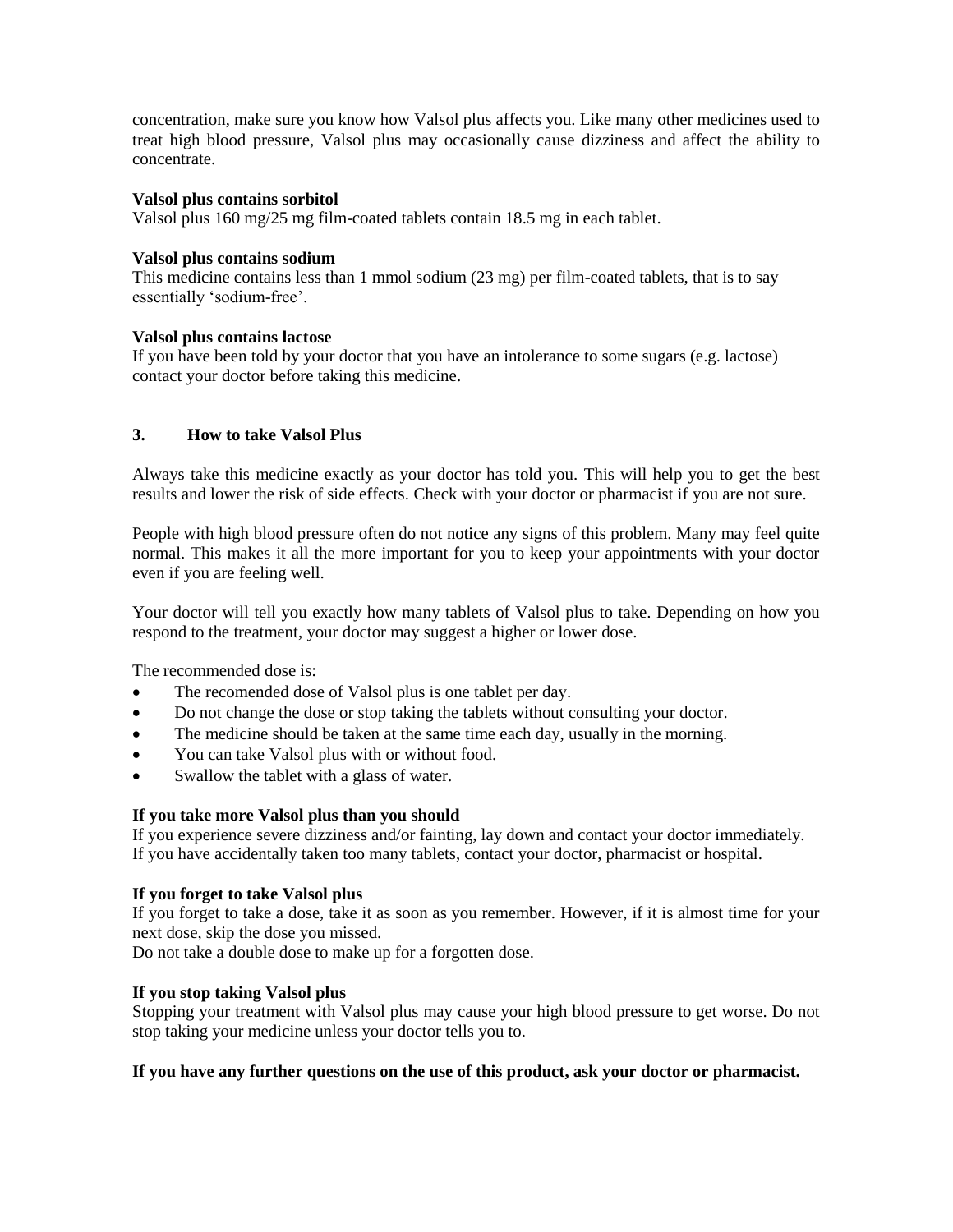concentration, make sure you know how Valsol plus affects you. Like many other medicines used to treat high blood pressure, Valsol plus may occasionally cause dizziness and affect the ability to concentrate.

#### **Valsol plus contains sorbitol**

Valsol plus 160 mg/25 mg film-coated tablets contain 18.5 mg in each tablet.

#### **Valsol plus contains sodium**

This medicine contains less than 1 mmol sodium (23 mg) per film-coated tablets, that is to say essentially 'sodium-free'.

#### **Valsol plus contains lactose**

If you have been told by your doctor that you have an intolerance to some sugars (e.g. lactose) contact your doctor before taking this medicine.

## **3. How to take Valsol Plus**

Always take this medicine exactly as your doctor has told you. This will help you to get the best results and lower the risk of side effects. Check with your doctor or pharmacist if you are not sure.

People with high blood pressure often do not notice any signs of this problem. Many may feel quite normal. This makes it all the more important for you to keep your appointments with your doctor even if you are feeling well.

Your doctor will tell you exactly how many tablets of Valsol plus to take. Depending on how you respond to the treatment, your doctor may suggest a higher or lower dose.

The recommended dose is:

- The recomended dose of Valsol plus is one tablet per day.
- Do not change the dose or stop taking the tablets without consulting your doctor.
- The medicine should be taken at the same time each day, usually in the morning.
- You can take Valsol plus with or without food.
- Swallow the tablet with a glass of water.

## **If you take more Valsol plus than you should**

If you experience severe dizziness and/or fainting, lay down and contact your doctor immediately. If you have accidentally taken too many tablets, contact your doctor, pharmacist or hospital.

## **If you forget to take Valsol plus**

If you forget to take a dose, take it as soon as you remember. However, if it is almost time for your next dose, skip the dose you missed.

Do not take a double dose to make up for a forgotten dose.

#### **If you stop taking Valsol plus**

Stopping your treatment with Valsol plus may cause your high blood pressure to get worse. Do not stop taking your medicine unless your doctor tells you to.

## **If you have any further questions on the use of this product, ask your doctor or pharmacist.**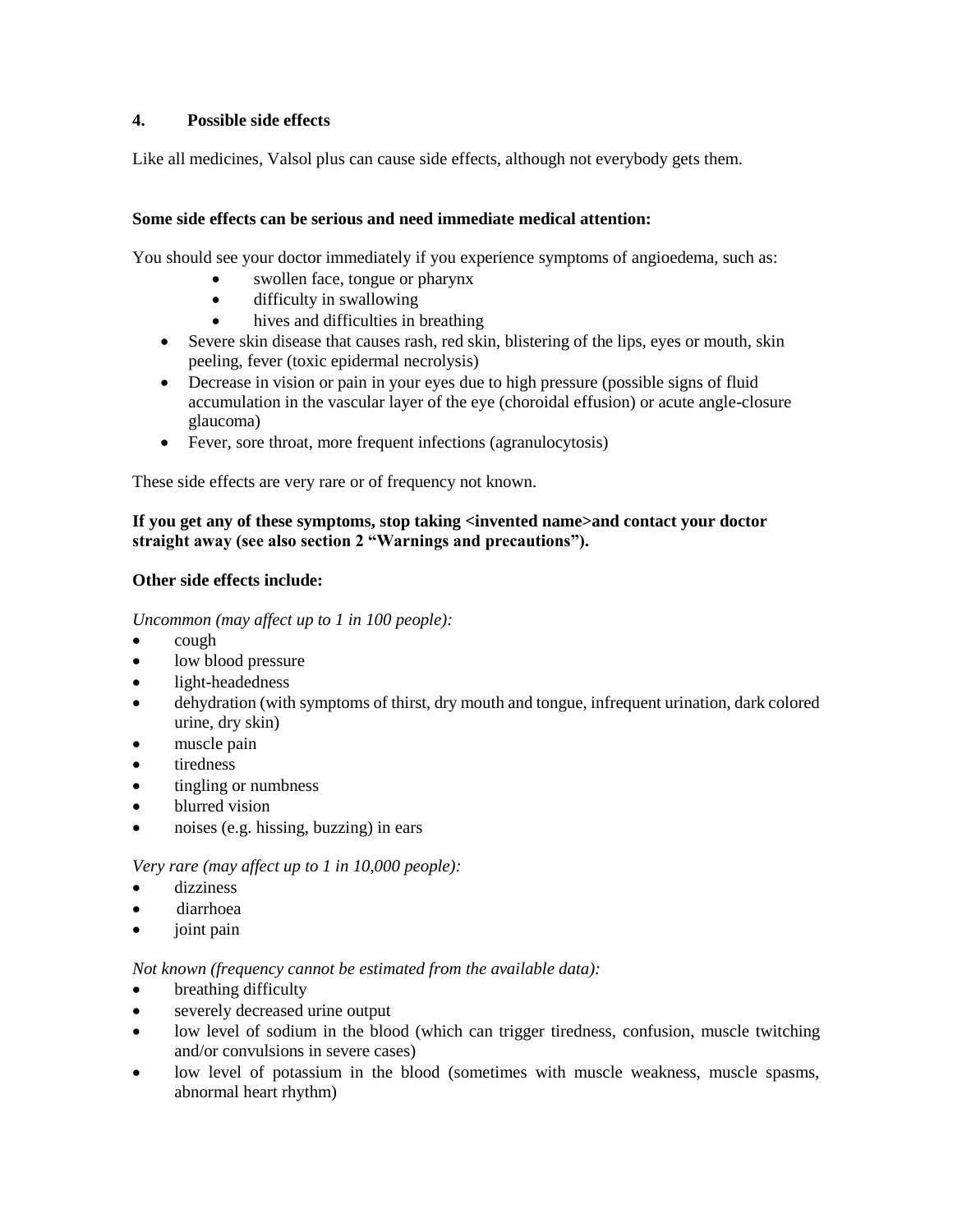# **4. Possible side effects**

Like all medicines, Valsol plus can cause side effects, although not everybody gets them.

## **Some side effects can be serious and need immediate medical attention:**

You should see your doctor immediately if you experience symptoms of angioedema, such as:

- swollen face, tongue or pharynx
- difficulty in swallowing
- hives and difficulties in breathing
- Severe skin disease that causes rash, red skin, blistering of the lips, eyes or mouth, skin peeling, fever (toxic epidermal necrolysis)
- Decrease in vision or pain in your eyes due to high pressure (possible signs of fluid accumulation in the vascular layer of the eye (choroidal effusion) or acute angle-closure glaucoma)
- Fever, sore throat, more frequent infections (agranulocytosis)

These side effects are very rare or of frequency not known.

# **If you get any of these symptoms, stop taking <invented name>and contact your doctor straight away (see also section 2 "Warnings and precautions").**

## **Other side effects include:**

*Uncommon (may affect up to 1 in 100 people):*

- cough
- low blood pressure
- light-headedness
- dehydration (with symptoms of thirst, dry mouth and tongue, infrequent urination, dark colored urine, dry skin)
- muscle pain
- tiredness
- tingling or numbness
- blurred vision
- noises (e.g. hissing, buzzing) in ears

# *Very rare (may affect up to 1 in 10,000 people):*

- dizziness
- diarrhoea
- joint pain

## *Not known (frequency cannot be estimated from the available data):*

- breathing difficulty
- severely decreased urine output
- low level of sodium in the blood (which can trigger tiredness, confusion, muscle twitching and/or convulsions in severe cases)
- low level of potassium in the blood (sometimes with muscle weakness, muscle spasms, abnormal heart rhythm)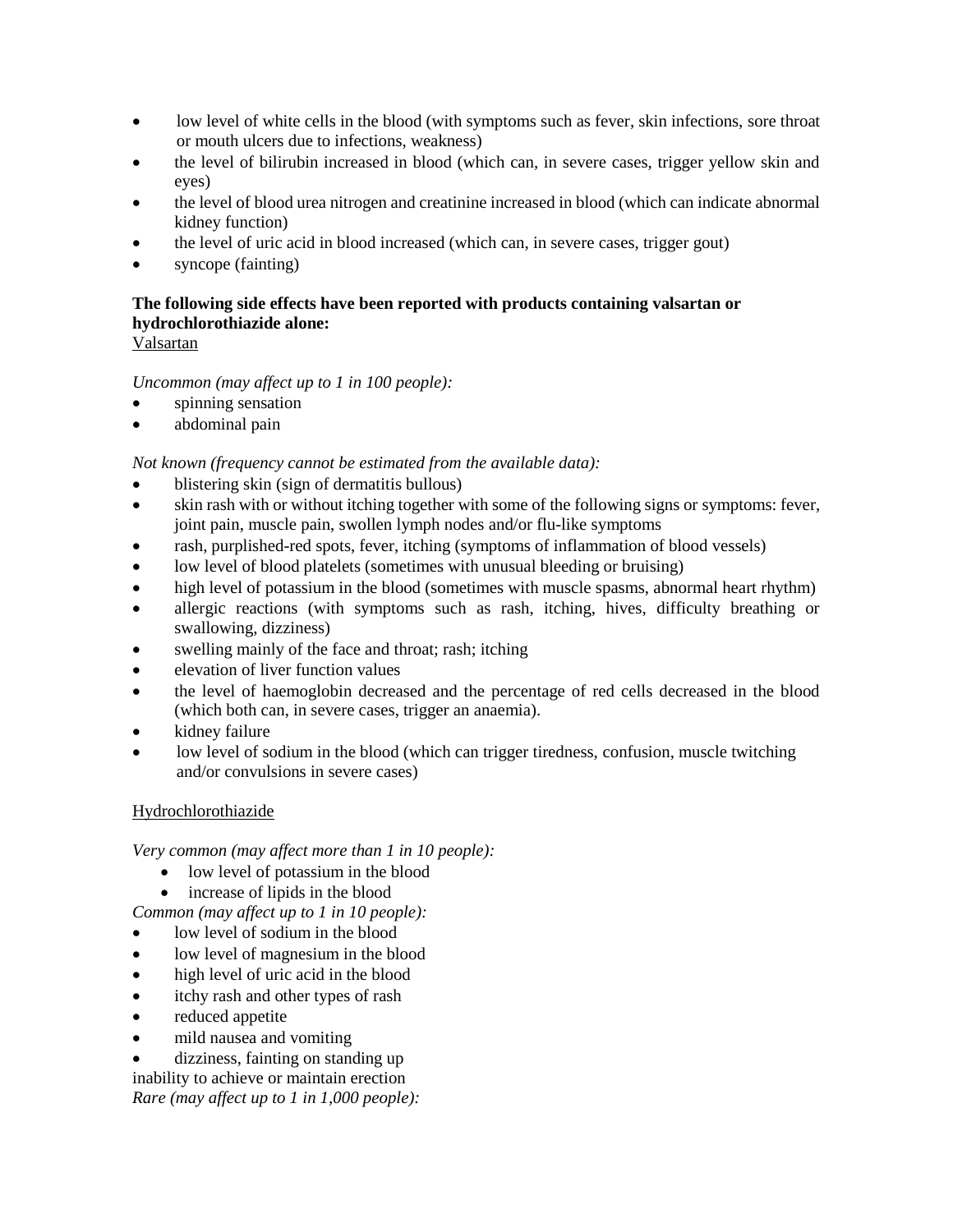- low level of white cells in the blood (with symptoms such as fever, skin infections, sore throat or mouth ulcers due to infections, weakness)
- the level of bilirubin increased in blood (which can, in severe cases, trigger yellow skin and eyes)
- the level of blood urea nitrogen and creatinine increased in blood (which can indicate abnormal kidney function)
- the level of uric acid in blood increased (which can, in severe cases, trigger gout)
- syncope (fainting)

# **The following side effects have been reported with products containing valsartan or hydrochlorothiazide alone:**

# Valsartan

# *Uncommon (may affect up to 1 in 100 people):*

- spinning sensation
- abdominal pain

*Not known (frequency cannot be estimated from the available data):*

- blistering skin (sign of dermatitis bullous)
- skin rash with or without itching together with some of the following signs or symptoms: fever, joint pain, muscle pain, swollen lymph nodes and/or flu-like symptoms
- rash, purplished-red spots, fever, itching (symptoms of inflammation of blood vessels)
- low level of blood platelets (sometimes with unusual bleeding or bruising)
- high level of potassium in the blood (sometimes with muscle spasms, abnormal heart rhythm)
- allergic reactions (with symptoms such as rash, itching, hives, difficulty breathing or swallowing, dizziness)
- swelling mainly of the face and throat; rash; itching
- elevation of liver function values
- the level of haemoglobin decreased and the percentage of red cells decreased in the blood (which both can, in severe cases, trigger an anaemia).
- kidney failure
- low level of sodium in the blood (which can trigger tiredness, confusion, muscle twitching and/or convulsions in severe cases)

# Hydrochlorothiazide

*Very common (may affect more than 1 in 10 people):*

- low level of potassium in the blood
- increase of lipids in the blood

*Common (may affect up to 1 in 10 people):*

- low level of sodium in the blood
- low level of magnesium in the blood
- high level of uric acid in the blood
- itchy rash and other types of rash
- reduced appetite
- mild nausea and vomiting

dizziness, fainting on standing up

inability to achieve or maintain erection *Rare (may affect up to 1 in 1,000 people):*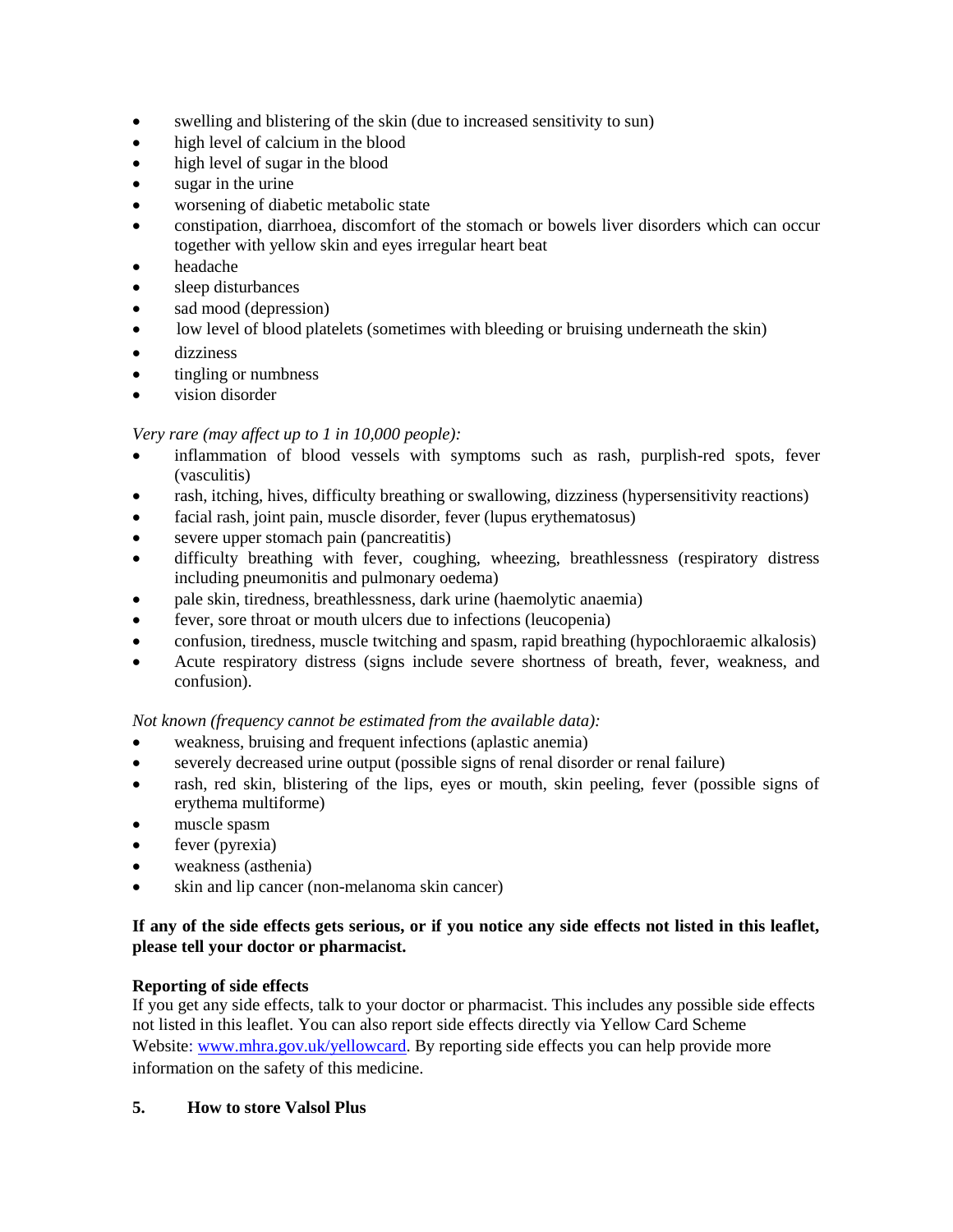- swelling and blistering of the skin (due to increased sensitivity to sun)
- high level of calcium in the blood
- high level of sugar in the blood
- sugar in the urine
- worsening of diabetic metabolic state
- constipation, diarrhoea, discomfort of the stomach or bowels liver disorders which can occur together with yellow skin and eyes irregular heart beat
- headache
- sleep disturbances
- sad mood (depression)
- low level of blood platelets (sometimes with bleeding or bruising underneath the skin)
- dizziness
- tingling or numbness
- vision disorder

# *Very rare (may affect up to 1 in 10,000 people):*

- inflammation of blood vessels with symptoms such as rash, purplish-red spots, fever (vasculitis)
- rash, itching, hives, difficulty breathing or swallowing, dizziness (hypersensitivity reactions)
- facial rash, joint pain, muscle disorder, fever (lupus erythematosus)
- severe upper stomach pain (pancreatitis)
- difficulty breathing with fever, coughing, wheezing, breathlessness (respiratory distress including pneumonitis and pulmonary oedema)
- pale skin, tiredness, breathlessness, dark urine (haemolytic anaemia)
- fever, sore throat or mouth ulcers due to infections (leucopenia)
- confusion, tiredness, muscle twitching and spasm, rapid breathing (hypochloraemic alkalosis)
- Acute respiratory distress (signs include severe shortness of breath, fever, weakness, and confusion).

*Not known (frequency cannot be estimated from the available data):*

- weakness, bruising and frequent infections (aplastic anemia)
- severely decreased urine output (possible signs of renal disorder or renal failure)
- rash, red skin, blistering of the lips, eyes or mouth, skin peeling, fever (possible signs of erythema multiforme)
- muscle spasm
- fever (pyrexia)
- weakness (asthenia)
- skin and lip cancer (non-melanoma skin cancer)

# **If any of the side effects gets serious, or if you notice any side effects not listed in this leaflet, please tell your doctor or pharmacist.**

# **Reporting of side effects**

If you get any side effects, talk to your doctor or pharmacist. This includes any possible side effects not listed in this leaflet. You can also report side effects directly via Yellow Card Scheme Website: [www.mhra.gov.uk/yellowcard.](http://www.mhra.gov.uk/yellowcard) By reporting side effects you can help provide more information on the safety of this medicine.

# **5. How to store Valsol Plus**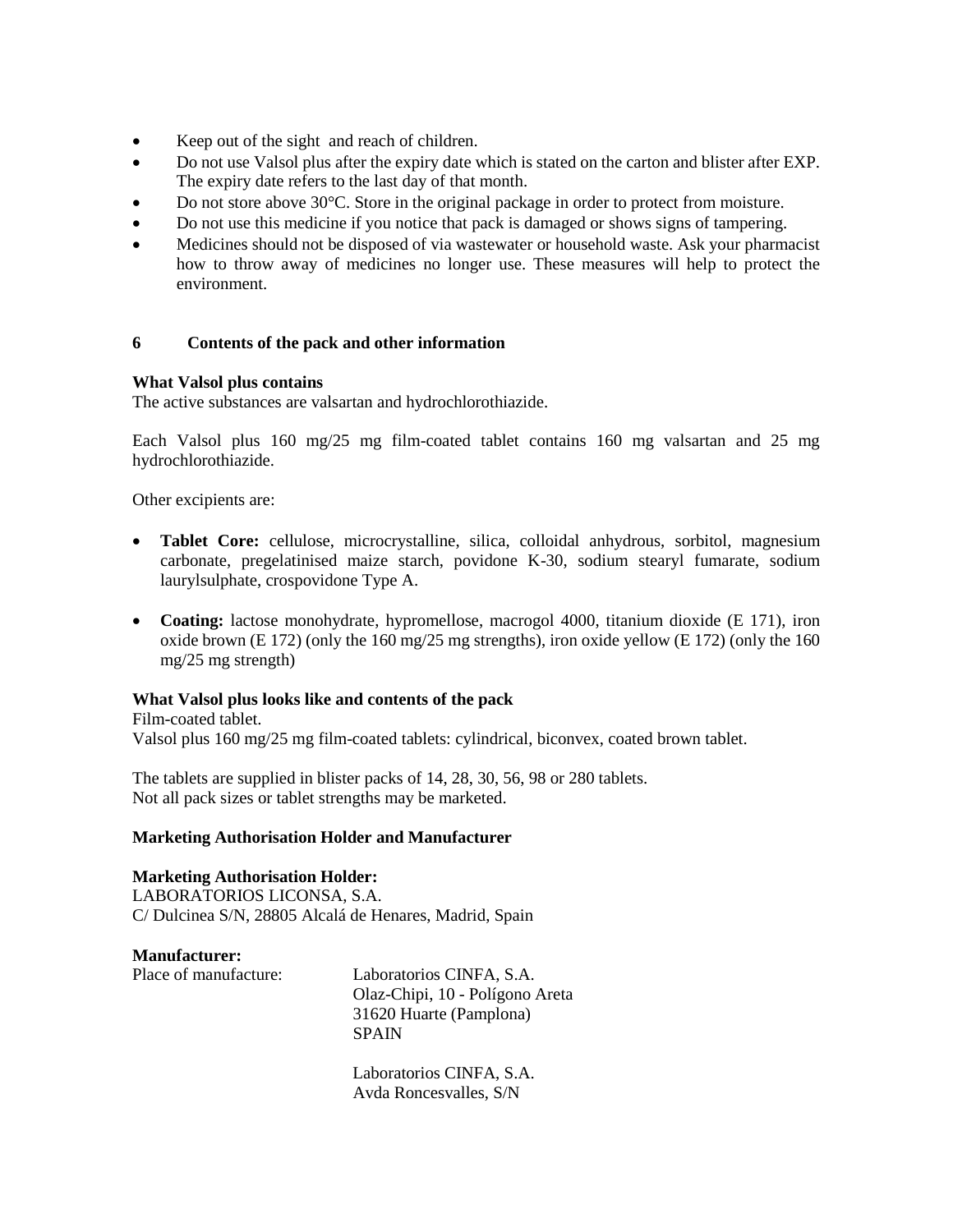- Keep out of the sight and reach of children.
- Do not use Valsol plus after the expiry date which is stated on the carton and blister after EXP. The expiry date refers to the last day of that month.
- Do not store above 30°C. Store in the original package in order to protect from moisture.
- Do not use this medicine if you notice that pack is damaged or shows signs of tampering.
- Medicines should not be disposed of via wastewater or household waste. Ask your pharmacist how to throw away of medicines no longer use. These measures will help to protect the environment.

## **6 Contents of the pack and other information**

## **What Valsol plus contains**

The active substances are valsartan and hydrochlorothiazide.

Each Valsol plus 160 mg/25 mg film-coated tablet contains 160 mg valsartan and 25 mg hydrochlorothiazide.

Other excipients are:

- **Tablet Core:** cellulose, microcrystalline, silica, colloidal anhydrous, sorbitol, magnesium carbonate, pregelatinised maize starch, povidone K-30, sodium stearyl fumarate, sodium laurylsulphate, crospovidone Type A.
- **Coating:** lactose monohydrate, hypromellose, macrogol 4000, titanium dioxide (E 171), iron oxide brown (E 172) (only the 160 mg/25 mg strengths), iron oxide yellow (E 172) (only the 160 mg/25 mg strength)

## **What Valsol plus looks like and contents of the pack**

Film-coated tablet. Valsol plus 160 mg/25 mg film-coated tablets: cylindrical, biconvex, coated brown tablet.

The tablets are supplied in blister packs of 14, 28, 30, 56, 98 or 280 tablets. Not all pack sizes or tablet strengths may be marketed.

#### **Marketing Authorisation Holder and Manufacturer**

## **Marketing Authorisation Holder:**

LABORATORIOS LICONSA, S.A. C/ Dulcinea S/N, 28805 Alcalá de Henares, Madrid, Spain

**Manufacturer:**

Place of manufacture: Laboratorios CINFA, S.A. Olaz-Chipi, 10 - Polígono Areta 31620 Huarte (Pamplona) SPAIN

> Laboratorios CINFA, S.A. Avda Roncesvalles, S/N